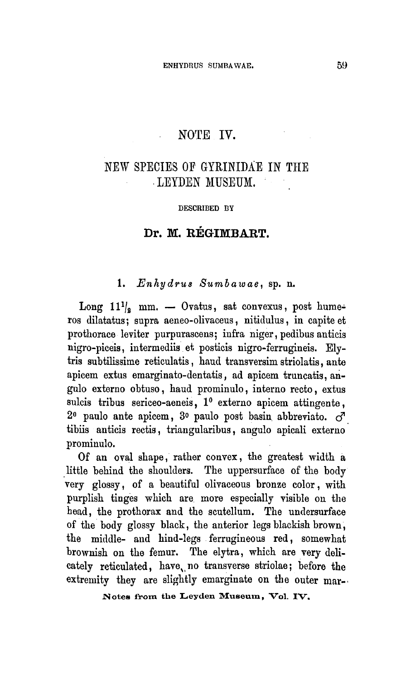### NOTE IV.

l,

## New species of Gyrinidae in the Leyden Museum

#### DESCRIBED BY

#### Dr. M. Régimbart

#### 1. Enhydrus Sumbawae, sp. n.

Long  $11\frac{1}{s}$  mm.  $-$  Ovatus, sat convexus, post hume ros dilatatus; supra aeneo-olivaceus, nitidulus, in capite et prothorace leviter purpurascens; infra niger, pedibus anticis nigro-piceis, intermediis et posticis nigro-ferrugineis. Elytris subtilissime reticulatis, haud transversim striolatis, ante apicem extus emarginato-dentatis, ad apicem truncatis, angulo externo obtuso, haud prominulo, interno recto, extus sulcis tribus sericeo-aeneis, 1° externo apicem attingente,  $2^{\circ}$  paulo ante apicem,  $3^{\circ}$  paulo post basin abbreviato.  $\vec{C}$ tibiis anticis rectis, triangularibus, angulo apicali externo prominulo.

Of an oval shape, rather convex, the greatest width <sup>a</sup> little behind the shoulders. The uppersurface of the body very glossy, of <sup>a</sup> beautiful olivaceous bronze color, with purplish tinges which are more especially visible on the head, the prothorax and the scutellum. The undersurface of the body glossy black, the anterior legs blackish brown, the middle- and hind-legs ferrugineous red, somewhat brownish on the femur. The elytra, which are very delicately reticulated, have no transverse striolae; before the extremity they are slightly emarginate on the outer mar-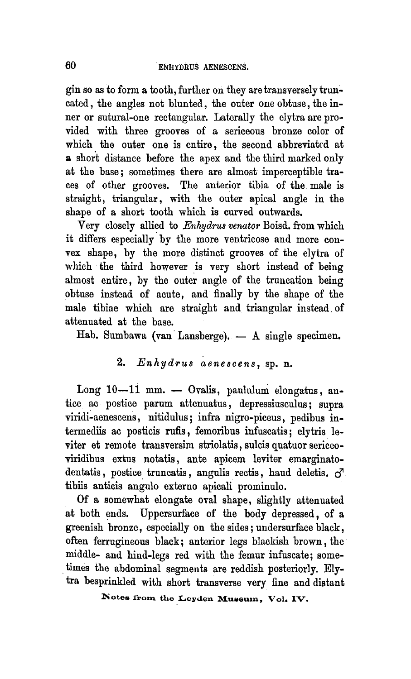gin so as to form a tooth, further on they are transversely truncated, the angles not blunted, the outer one obtuse, the inner or sutural-one rectangular. Laterally the elytra are provided with three grooves of <sup>a</sup> sericeous bronze color of which the outer one is entire, the second abbreviated at <sup>a</sup> short distance before the apex and the third marked only at the base; sometimes there are almost imperceptible traces of other grooves. The anterior tibia of the male is straight, triangular, with the outer apical angle in the shape of a short tooth which is curved outwards.

Yery closely allied to Enhydrus venator Boisd. from which it differs especially by the more ventricose and more convex shape, by the more distinct grooves of the elytra of which the third however is very short instead of being almost entire, by the outer angle of the truncation being obtuse instead of acute, and finally by the shape of the male tibiae which are straight and triangular instead of attenuated at the base.

Hab. Sumbawa (van Lansberge). — A single specimen.

### 2.  $Enhydrus$  aenescens, sp. n.

Long 10—11 mm. — Ovalis, paululum elongatus, antice ac postice parum attenuatus, depressiusculus; supra viridi-aenescens, nitidulus; infra nigro-piceus, pedibus intermediis ac posticis rufis, femoribus infuscatis; elytris leviter et remote transversim striolatis, sulcis quatuor sericeoviridibus extus notatis, ante apicem leviter emarginatodentatis, postice truncatis, angulis rectis, haud deletis.  $\sigma$ tibiis anticis angulo externo apicali prominulo.

Of <sup>a</sup> somewhat elongate oval shape, slightly attenuated at both ends. Uppersurface of the body depressed, of <sup>a</sup> greenish bronze, especially on the sides; undersurface black, often ferrugineous black; anterior legs blackish brown, the middle- and hind-legs red with the femur infuscate; sometimes the abdominal segments are reddish posteriorly. Elytra besprinkled with short transverse very fine and distant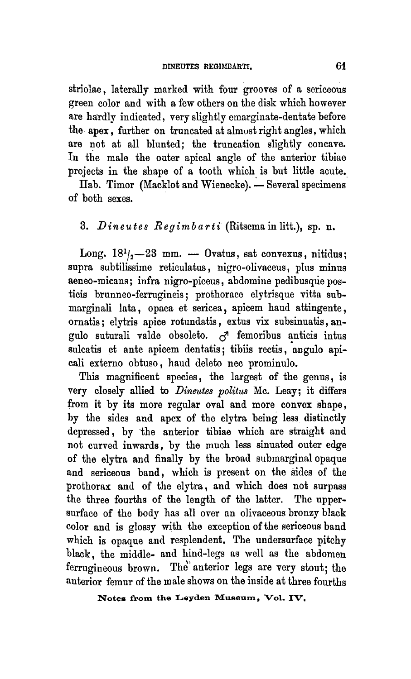striolae, laterally marked with four grooves of <sup>a</sup> sericeous green color and with a few others on the disk which however are hardly indicated, very slightly emarginate-dentate before the apex, further on truncated at almost right angles, which are not at all blunted; the truncation slightly concave. In the male the outer apical angle of the anterior tibiae projects in the shape of <sup>a</sup> tooth which is but little acute.

Hab. Timor (Macklot and Wienecke). — Several specimens of both sexes.

## 3. Dineutes  $Regionbarti$  (Ritsema in litt.), sp. n.

Long.  $18^{1}/_{2}$ -23 mm. - Ovatus, sat convexus, nitidus; supra subtilissime reticulatus, nigro-olivaceus, plus minus aeneo-micans; infra nigro-piceus, abdomine pedibusque posticis brunneo-ferrugineis; prothorace elytrisque vitta submarginali lata, opaca et sericea, apicem baud attingente, ornatis; elytris apice rotundatis, extus vix subsinuatis, angulo suturali valde obsoleto.  $\sigma^2$  femoribus anticis intus sulcatis et ante apicem dentatis; tibiis rectis, angulo apicali externo obtuso, baud deleto nec prominulo.

This magnificent species, the largest of the genus, is very closely allied to Dineutes politus Mc. Leay; it differs from it by its more regular oval and more convex sbape, by the sides and apex of the elytra being less distinctly depressed, by the anterior tibiae which are straight and not curved inwards, by the much less sinuated outer edge of the elytra and finally by the broad submarginal opaque and sericeous band, which is present on the sides of the prothorax and of the elytra, and which does not surpass the three fourths of the length of the latter. The uppersurface of the body has all over an olivaceous bronzy black color and is glossy with the exception of the sericeous band which is opaque and resplendent. The undersurface pitchy black, the middle- and hind-legs as well as the abdomen ferrugineous brown. The anterior legs are very stout; the anterior femur of the male shows on the inside at three fourths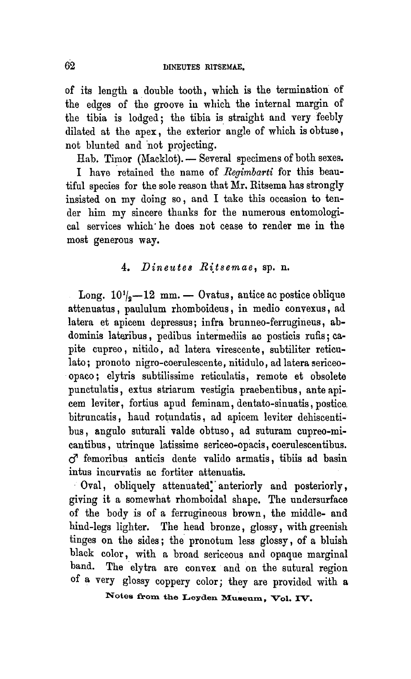of its length <sup>a</sup> double tooth, which is the termination of the edges of the groove in which the internal margin of the tibia is lodged; the tibia is straight and very feebly dilated at the apex, the exterior angle of which is obtuse, not blunted and not projecting.

Hab. Timor (Macklot). — Several specimens of both sexes.

I have retained the name of Regimbarti for this beautiful species for the sole reason that Mr. Ritsema has strongly insisted on my doing so, and I take this occasion to tender him my sincere thanks for the numerous entomological services which he does not cease to render me in the most generous way.

### 4. Dineutes Ritsemae, sp. n.

Long.  $10^{1/2} - 12$  mm.  $-$  Ovatus, antice ac postice oblique attenuatus, paululum rhomboideus, in medio convexus, ad latera et apicem depressus; infra brunneo-ferrugineus, abdominis lateribus, pedibus intermediis ac posticis rufis; capite cupreo, nitido, ad latera virescente, subtiliter reticulato; pronoto nigro-coerulescente, nitidulo, ad latera sericeoopaco; elytris subtilissime reticulatis, remote et obsolete punctulatis, extus striarum vestigia praebentibus, ante apicem leviter, fortius apud feminam, dentato-sinuatis, postice bitruncatis, baud rotundatis, ad apicem leviter dehiscentibus, angulo suturali valde obtuso, ad suturam cupreo-micantibus, utrinque latissime sericeo-opacis, coerulescentibus.  $C^7$  femoribus anticis dente valido armatis, tibiis ad basin intus incurvatis ac fortiter attenuatis.

Oval, obliquely attenuated" anteriorly and posteriorly, giving it <sup>a</sup> somewhat rhomboidal shape. The undersurface of the body is of <sup>a</sup> ferrugineous brown, the middle- and hind-legs lighter. The head bronze, glossy, with greenish tinges on the sides; the pronotum less glossy, of <sup>a</sup> bluish black color, with <sup>a</sup> broad sericeous and opaque marginal band. The elytra are convex and on the sutural region of <sup>a</sup> very glossy coppery color; they are provided with <sup>a</sup>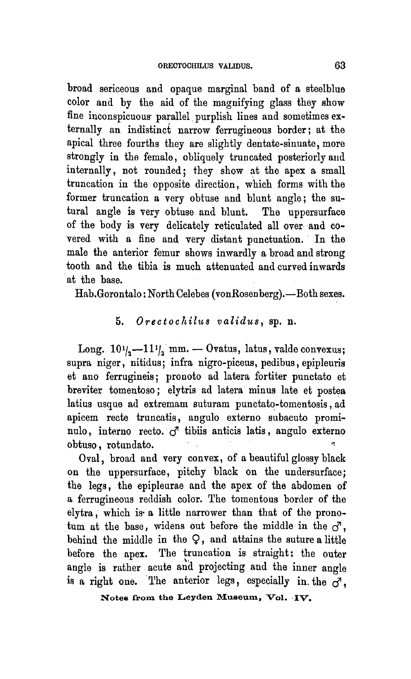broad sericeous and opaque marginal band of <sup>a</sup> steelblue color and by the aid of the magnifying glass they show fine inconspicuous parallel purplish lines and sometimes externally an indistinct narrow ferrugineous border; at the apical three fourths they are slightly dentate-sinuate, more strongly in the female, obliquely truncated posteriorly and internally, not rounded; they show at the apex <sup>a</sup> small truncation in the opposite direction, which forms with the former truncation <sup>a</sup> very obtuse and blunt angle; the sutural angle is very obtuse and blunt. The uppersurface of the body is very delicately reticulated all over and covered with <sup>a</sup> fine and very distant punctuation. In the male the anterior femur shows inwardly <sup>a</sup> broad and strong tooth and the tibia is much attenuated and curved inwards at the base.

Hab.Gorontalo: NorthCelebes (vonRosenberg).—Both sexes.

#### 5. Orectochilus validus, sp. n.

Long.  $10\frac{1}{2} - 11\frac{1}{2}$  mm. - Ovatus, latus, valde convexus; supra niger, nitidus; infra nigro-piceus, pedibus, epipleuris et ano ferrugineis; pronoto ad latera fortiter punctato et breviter tomentoso; elytris ad latera minus late et postea latius usque ad extremam suturam punctato-tomentosis, ad apicem recte truncatis, augulo externo subacuto prominulo, interno recto.  $\vec{c}$  tibiis anticis latis, angulo externo obtuso, rotuudato.

Oval, broad and very convex, of a beautiful glossy black on the uppersurface, pitchy black on the undersurface; the legs, the epipleurae and the apex of the abdomen of <sup>a</sup> ferrugineous reddish color. The tomentous border of the elytra, which is' <sup>a</sup> little narrower than that of the pronotum at the base, widens out before the middle in the  $\sigma$ , behind the middle in the Q, and attains the suture <sup>a</sup> little before the apex. The truncation is straight: the outer angle is rather acute and projecting and the inner angle is a right one. The anterior legs, especially in the  $\vec{c}$ .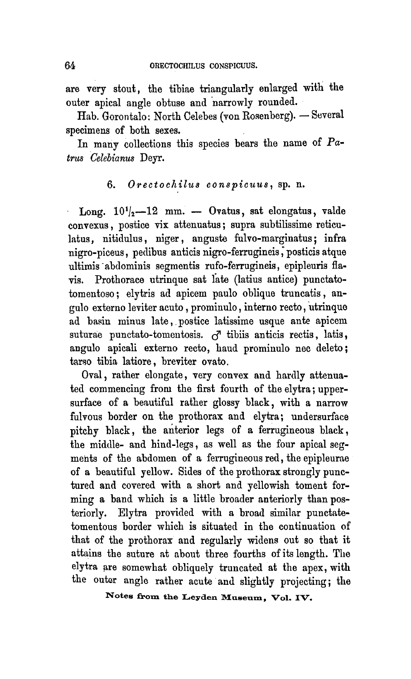are very stout, the tibiae triangularly enlarged with the outer apical angle obtuse and narrowly rounded.

Hab. Gorontalo: North Celebes (von Rosenberg). — Several specimens of both sexes.

In many collections this species bears the name of Patrus Celebianus Deyr.

### 6. Orectochilus conspicuus, sp. n.

Long.  $10^{1}/_{2}$ -12 mm. - Ovatus, sat elongatus, valde convexus, postice vix attenuatus; supra subtilissime reticulatus, nitidulus, niger, anguste fulvo-marginatus; infra nigro-piceus, pedibus anticis nigro-ferrugineis, posticis atque ultimis abdominis segmentis rufo-ferrugineis, epipleuris flavis. Prothorace utrinque sat late (latius antice) punctatotomentoso; elytris ad apicem paulo oblique truncatis, angulo externo leviter acuto , prominulo, interno recto, utrinque ad basin minus late, postice latissime usque ante apicem suturae punctato-tomentosis.  $\sigma^2$  tibiis anticis rectis, latis, angulo apicali externo recto, baud prominulo nec deleto; tarso tibia latiore, breviter ovato.

Oval, rather elongate, very convex and hardly attenuated commencing from the first fourth of the elytra; uppersurface of a beautiful rather glossy black, with <sup>a</sup> narrow fulvous border on the prothorax and elytra; undersurface pitchy black, the anterior legs of <sup>a</sup> ferrugineous black, the middle- and hind-legs, as well as the four apical segments of the abdomen of <sup>a</sup> ferrugineous red, the epipleurae of a beautiful yellow. Sides of the prothorax strongly punctured and covered with a short and yellowish toment forming <sup>a</sup> band which is <sup>a</sup> little broader anteriorly than posteriorly. Elytra provided with <sup>a</sup> broad similar punctatetomentous border which is situated in the continuation of that of the prothorax and regularly widens out so that it attains the suture at about three fourths of its length. The elytra are somewhat obliquely truncated at the apex, with the outer angle rather acute and slightly projecting; the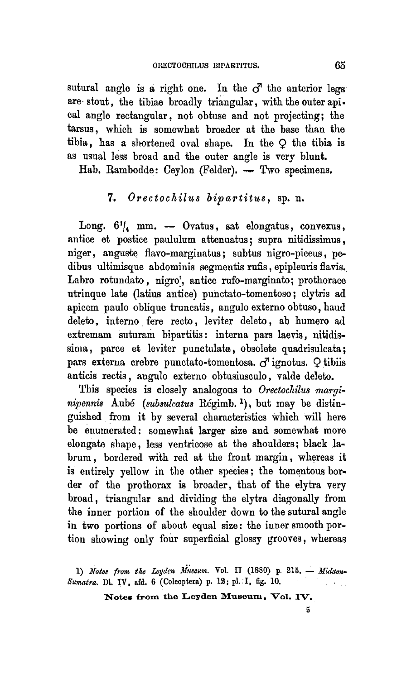sutural angle is a right one. In the  $\sigma$  the anterior legs are stout, the tibiae broadly triangular, with the outerapical angle rectangular, not obtuse and not projecting; the tarsus, which is somewhat broader at the base than the tibia, has a shortened oval shape. In the  $Q$  the tibia is as usual less broad and the outer angle is very blunt.

Hah. Rambodde: Ceylon (Felder), — Two specimens.

## 7. Orectochilus bipartitus, sp. n.

Long.  $6^{1}/_{4}$  mm.  $-$  Ovatus, sat elongatus, convexus, antice et postice paululum attenuatus; supra nitidissimus, niger, anguste flavo-marginatus; subtus nigro-piceus, pedibus ultimisque abdominis segmentis rufis, epipleuris flavis. Labro rotundato, nigro', antice rufo-marginato; prothorace utrinque late (latius antice) punctato-tomentoso; elytris ad apicem paulo oblique truncatis, angulo externo obtuso, baud deleto, interno fere recto, leviter deleto, ab humero ad extremam suturam bipartitis: interna pars laevis, nitidissima, parce et leviter punctulata, obsolete quadrisulcata; pars externa crebre punctato-tomentosa.  $\vec{\sigma}$  ignotus.  $\Omega$  tibiis anticis rectis, angulo externo obtusiusculo, valde deleto.

This species is closely analogous to Orectochilus marginipennis Aubé (subsulcatus Régimb.<sup>1</sup>), but may be distin guished from it by several characteristics which will here be enumerated: somewhat larger size and somewhat more elongate shape, less ventricose at the shoulders; black labrum, bordered with red at the front margin, whereas it is entirely yellow in the other species; the tomentous border of the prothorax is broader, that of the elytra very broad, triangular and dividing the elytra diagonally from the inner portion of the shoulder down to the sutural angle in two portions of about equal size: the inner smooth portion showing only four superficial glossy grooves, whereas

1) Notes from the Leyden Museum. Vol. II (1880) p. 215. - Midden-Sumatra. Dl. IV, afd. 6 (Colcoptera) p. 12; pl. I, fig. 10.

Notes from the Leyden Museum, Vol. IV.

5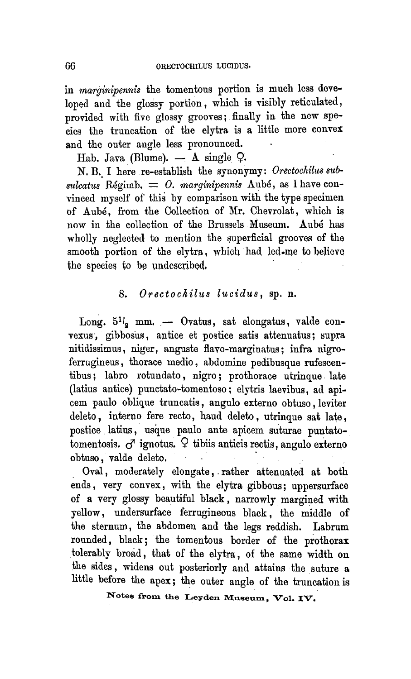in marginipennis the tomentous portion is much less developed and the glossy portion, which is visibly reticulated, provided with five glossy grooves; finally in the new species the truncation of the elytra is <sup>a</sup> little more convex and the outer angle less pronounced.

Hah. Java (Blume). — A single Q.

N. B. I here re-establish the synonymy: Orectochilus sub $suler 1$  and it constant the symbol of  $s$  as I have convinced myself of this by comparison with the type specimen of Aube, from the Collection of Mr. Chevrolat, which is now in the collection of the Brussels Museum. Aube has wholly neglected to mention the superficial grooves of the smooth portion of the elytra, which had led-me to believe the species to be undescribed,

#### 8. Orectochilus lucidus, sp. n.

Long.  $5^{11}$ <sub>2</sub> mm. - Ovatus, sat elongatus, valde convexus, gibbosus, antice et postice satis attenuatus; supra nitidissimus, uiger, anguste flavo-marginatus; infra nigroferrugineus, thorace medio, abdomine pedibusque rufescentibus; labro rotundato, nigro; prothorace utrinque late (latius antice) punctato-tomentoso; elytris laevibus, ad apicem paulo oblique truncatis, angulo externo obtuso, leviter deleto, interno fere recto, haud deleto, utrinque sat late, postice latius, usque paulo ante apicem suturae puntatotomentosis.  $\sigma$  ignotus.  $\varphi$  tibiis anticis rectis, angulo externo obtuso, valde deleto.

Oval, moderately elongate, rather attenuated at both ends, very convex, with the elytra gibbous; uppersurface of <sup>a</sup> very glossy beautiful black, narrowly margined with yellow, undersurface ferrugineous black, the middle of the sternum, the abdomen and the legs reddish. Labrum rounded, black; the tomentous border of the prothorax tolerably broad, that of the elytra, of the same width on the sides, widens out posteriorly and attains the suture <sup>a</sup> little before the apex; the outer angle of the truncation is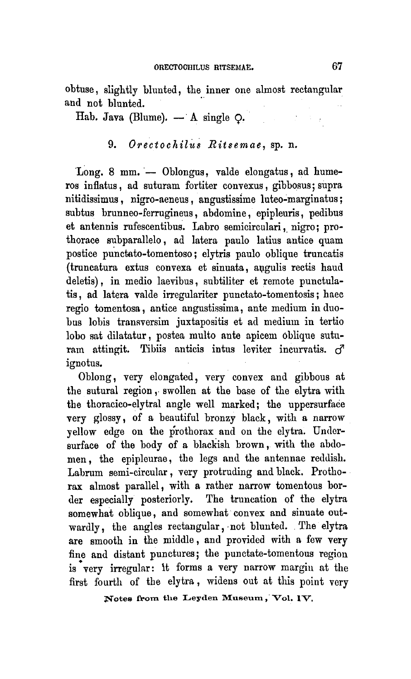obtuse, slightly blunted, the inner one almost rectangular and not blunted.

Hab. Java (Blume).  $- A$  single  $\circ$ .

## 9. Orectochilus Ritsemae, sp. n.

Long. 8 mm. — Oblongus, valde elongatus, ad humeros inflatus, ad suturam fortiter convexus, gibbosus; supra nitidissimus, nigro-aeneus, angustissime luteo-marginatus; subtus brunneo-ferrugineus, abdomine, epipleuris, pedibus et antennis rufescentibus. Labro semicirculari, nigro; prothorace subparallelo, ad latera paulo latius antice quam postice punctato-tomentoso; elytris paulo oblique truncatis (truncatura extus convexa et sinuata, apgulis rectis haud deletis), in medio laevibus, subtiliter et remote punctulatis, ad latera valde irregulariter punctato-tomentosis; haec regio tomentosa, antice angustissima, ante medium in duobus lobis transversim juxtapositis et ad medium in tertio lobo sat dilatatur, postea multo ante apicem Oblique suturam attingit. Tibiis anticis intus leviter incurvatis.  $\sigma^2$ ignotus.

Oblong, very elongated, very convex and gibbous at the sutural region , swollen at the base of the elytra with the thoracico-elytral angle well marked; the uppersurface very glossy, of <sup>a</sup> beautiful bronzy black, with <sup>a</sup> narrow yellow edge on the prothorax and on the elytra. Undersurface of the body of <sup>a</sup> blackish brown, with the abdomen , the epipleurae, the legs and the antennae reddish. Labrum semi-circular, very protruding andblack. Prothorax almost parallel, with <sup>a</sup> rather narrow tomentous border especially posteriorly. The truncation of the elytra somewhat oblique, and somewhat convex and sinuate outwardly, the angles rectangular, not blunted. The elytra are smooth in the middle, and provided with <sup>a</sup> few very fine and distant punctures; the punctate-tomentous region is very irregular: it forms a very narrow margin at the first fourth of the elytra, widens out at this point very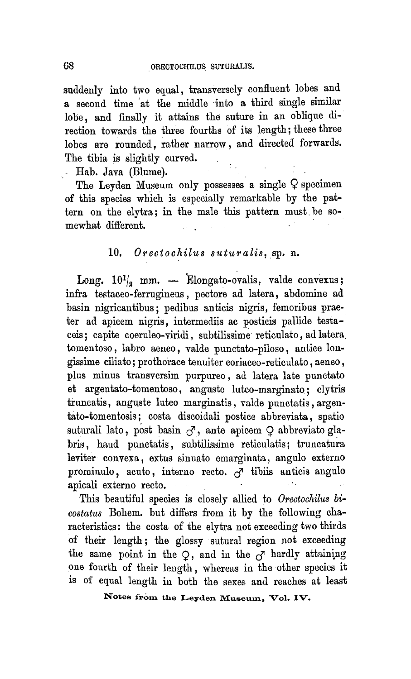suddenly into two equal, transversely confluent lobes and a second time at the middle into a third single similar lobe, and finally it attains the suture in an oblique direction towards the three fourths of its length; these three lobes are rounded, rather narrow, and directed forwards. The tibia is slightly curved.

Hab. Java (Blume).

The Leyden Museum only possesses a single  $\varphi$  specimen of this species which is especially remarkable by the pattern on the elytra; in the male this pattern must be somewhat different.

# 10, Orectochilus suturalis, sp. n.

Long.  $10^{1/2}$  mm. - Elongato-ovalis, valde convexus; infra testaceo-ferrugineus, pectore ad latera, abdomine ad basin nigricantibus; pedibus anticis nigris, femoribus praeter ad apicem nigris, intermediis ac posticis pallide testaceis; capite coeruleo-viridi, subtilissime reticulato, ad latera tomentoso, labro aeneo, valde punctato-piloso, antice longissime ciliato; prothorace tenuiter coriaceo-reticulato, aeneo, plus minus transversim purpureo, ad latera late punctato et argentato-tomentoso, anguste luteo-marginato; elytris truncatis, anguste luteo marginatis, valde punctatis, argeutato-tomentosis; costa discoidali postice abbreviata, spatio suturali lato, post basin  $\sigma$ , ante apicem  $\Omega$  abbreviato glabris, baud punctatis, subtilissime reticulatis; truucatura leviter convexa, extus sinuato emarginata, angulo externo prominulo, acuto, interno recto.  $\overline{c}$  tibiis anticis angulo apicali externo recto.

This beautiful species is closely allied to Orectochilus bicostatus Bohem. but differs from it by the following characteristics: the costa of the elytra not exceeding two thirds of their length; the glossy sutural region not exceeding the same point in the  $Q$ , and in the  $\sigma$  hardly attaining one fourth of their length, whereas in the other species it is of equal length in both the sexes and reaches at least

Notes from the Leyden Museum, Vol. IV.

68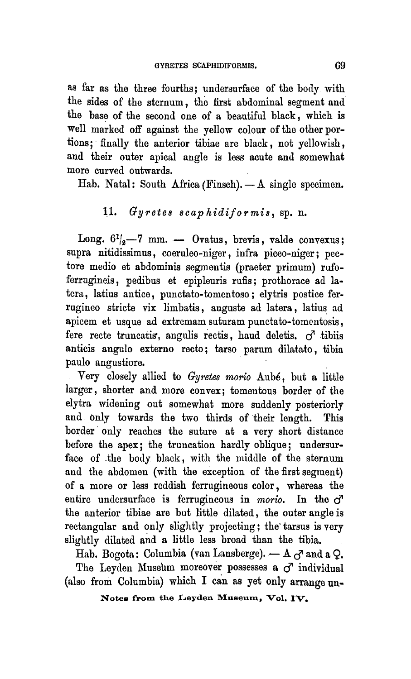as far as the three fourths; uudersurface of the body with the sides of the sternum, the first abdominal segment and the base of the second one of <sup>a</sup> beautiful black, which is well marked off against the yellow colour of the other portions; finally the anterior tibiae are black, not yellowish, and their outer apical angle is less acute and somewhat more curved outwards.

Hab. Natal: South Africa (Pinsch). — A single specimen.

# 11. Gyretes scaphidiformis, sp. n.

Long.  $6^{1}/_{2}$  -7 mm. - Ovatus, brevis, valde convexus; supra nitidissimus, coeruleo-niger, infra piceo-niger; pectore medio et abdominis segmentis (praeter primum) rufoferrugineis, pedibus et epipleuris rufis; prothorace ad latera, latius antice, punctato-tomentoso; elytris postice ferrugineo stricte vix limbatis, anguste ad latera, latius ad apicem et usque ad extremam suturam punctato-tomentosis, fere recte truncatis, angulis rectis, haud deletis.  $\sigma^2$  tibiis anticis angulo externo recto; tarso parum dilatato, tibia paulo angustiore.

Very closely allied to Gyretes morio Aube, but <sup>a</sup> little larger, shorter and more convex; tomentous border of the elytra widening out somewhat more suddenly posteriorly and only towards the two thirds of their length. This border only reaches the suture at <sup>a</sup> very short distance before the apex; the truncation hardly oblique; undersurface of the body black, with the middle of the sternum and the abdomen (with the exception of the first segment) of a more or less reddish ferrugineous color, whereas the entire undersurface is ferrugineous in morio. In the  $\sigma$ the anterior tibiae are but little dilated, the outer angle is rectangular and only slightly projecting; the tarsus is very slightly dilated and <sup>a</sup> little less broad than the tibia.

Hab. Bogota: Columbia (van Lansberge).  $-$  A  $_{\mathcal{O}}$  and a Q.

The Leyden Museum moreover possesses a  $\sigma$  individual (also from Columbia) which I can as yet only arrange un-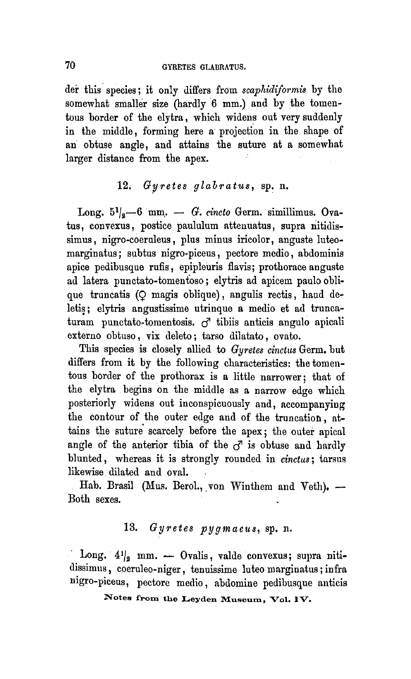der this species; it only differs from scaphidiformis by the somewhat smaller size (hardly <sup>6</sup> mm.) and by the tomentous border of the elytra, which widens out very suddenly in the middle, forming here a projection in the shape of an obtuse angle, and attains the suture at <sup>a</sup> somewhat larger distance from the apex.

## 12. Gyretes glabratus, sp. n.

Long.  $5^{1}_{8}-6$  mm. - G. cincto Germ. simillimus. Ovatus, convexus, postice paululum attenuatus, supra nitidissimus, nigro-coeruleus, plus minus iricolor, anguste luteomarginatus; subtus nigro-piceus, pectore medio, abdominis apice pedibusque rufis, epipleuris flavis; prothorace anguste ad latera punctato-tomentoso; elytris ad apicem paulo oblique truncatis (Q magis oblique), angulis rectis, haud deletis; elytris angustissime utrinque <sup>a</sup> medio et ad truncaturam punctato-tomentosis.  $\sigma$  tibiis anticis angulo apicali externo ohtuso, vix deleto; tarso dilatato, oyato.

This species is closely allied to Gyretes cinctus Germ, but differs from it by the following characteristics: the tomentous border of the prothorax is a little narrower; that of the elytra begins on the middle as <sup>a</sup> narrow edge which posteriorly widens out inconspicuously and, accompanying the contour of the outer edge and of the truncation, attains the suture scarcely before the apex; the outer apical angle of the anterior tibia of the  $\sigma$  is obtuse and hardly blunted, whereas it is strongly rounded in cinctus; tarsus likewise dilated and oval.

Hab. Brasil (Mus. Berol., von Winthem and Veth). — Both sexes.

## 13. Gyretes pygmaeus, sp. n.

Long.  $4\frac{1}{2}$  mm.  $-$  Ovalis, valde convexus; supra nitidissimus, coeruleo-niger, tenuissime luteo marginatus; infra nigro-piceus, pectore medio, abdomine pedibusque anticis